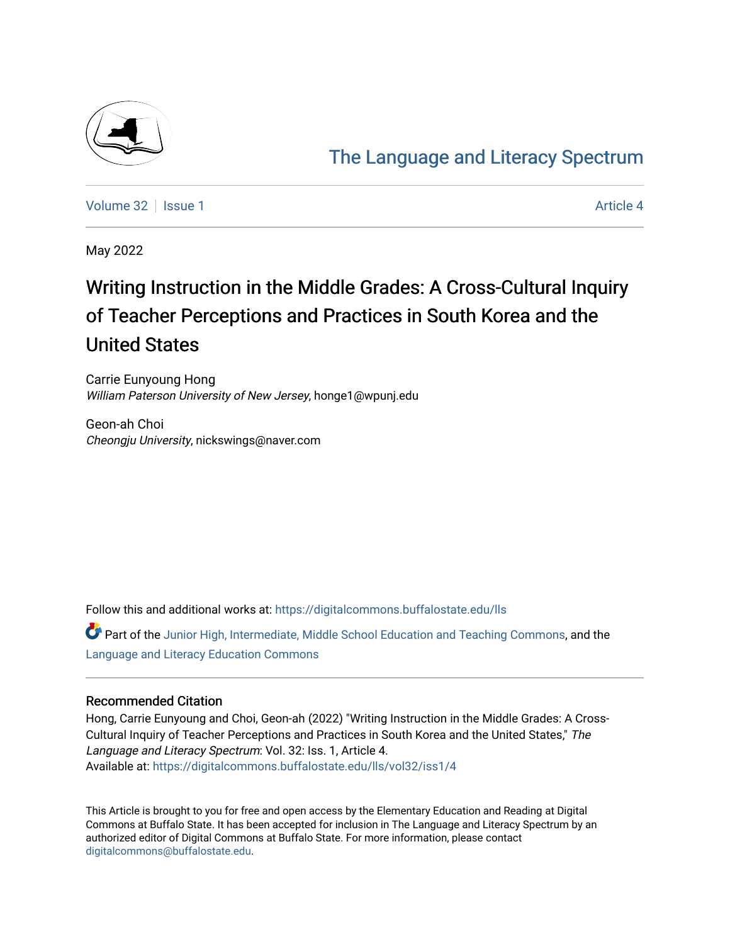

# [The Language and Literacy Spectrum](https://digitalcommons.buffalostate.edu/lls)

[Volume 32](https://digitalcommons.buffalostate.edu/lls/vol32) | [Issue 1](https://digitalcommons.buffalostate.edu/lls/vol32/iss1) Article 4

May 2022

# Writing Instruction in the Middle Grades: A Cross-Cultural Inquiry of Teacher Perceptions and Practices in South Korea and the United States

Carrie Eunyoung Hong William Paterson University of New Jersey, honge1@wpunj.edu

Geon-ah Choi Cheongju University, nickswings@naver.com

Follow this and additional works at: [https://digitalcommons.buffalostate.edu/lls](https://digitalcommons.buffalostate.edu/lls?utm_source=digitalcommons.buffalostate.edu%2Flls%2Fvol32%2Fiss1%2F4&utm_medium=PDF&utm_campaign=PDFCoverPages)

Part of the [Junior High, Intermediate, Middle School Education and Teaching Commons](https://network.bepress.com/hgg/discipline/807?utm_source=digitalcommons.buffalostate.edu%2Flls%2Fvol32%2Fiss1%2F4&utm_medium=PDF&utm_campaign=PDFCoverPages), and the [Language and Literacy Education Commons](https://network.bepress.com/hgg/discipline/1380?utm_source=digitalcommons.buffalostate.edu%2Flls%2Fvol32%2Fiss1%2F4&utm_medium=PDF&utm_campaign=PDFCoverPages) 

#### Recommended Citation

Hong, Carrie Eunyoung and Choi, Geon-ah (2022) "Writing Instruction in the Middle Grades: A Cross-Cultural Inquiry of Teacher Perceptions and Practices in South Korea and the United States," The Language and Literacy Spectrum: Vol. 32: Iss. 1, Article 4. Available at: [https://digitalcommons.buffalostate.edu/lls/vol32/iss1/4](https://digitalcommons.buffalostate.edu/lls/vol32/iss1/4?utm_source=digitalcommons.buffalostate.edu%2Flls%2Fvol32%2Fiss1%2F4&utm_medium=PDF&utm_campaign=PDFCoverPages) 

This Article is brought to you for free and open access by the Elementary Education and Reading at Digital Commons at Buffalo State. It has been accepted for inclusion in The Language and Literacy Spectrum by an authorized editor of Digital Commons at Buffalo State. For more information, please contact [digitalcommons@buffalostate.edu.](mailto:digitalcommons@buffalostate.edu)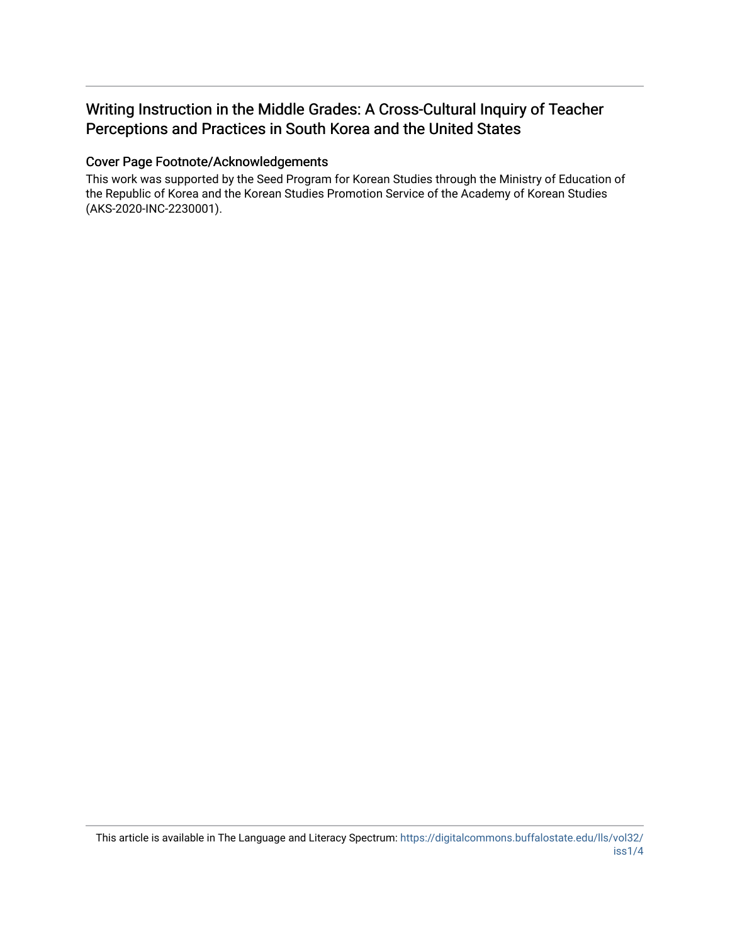## Writing Instruction in the Middle Grades: A Cross-Cultural Inquiry of Teacher Perceptions and Practices in South Korea and the United States

#### Cover Page Footnote/Acknowledgements

This work was supported by the Seed Program for Korean Studies through the Ministry of Education of the Republic of Korea and the Korean Studies Promotion Service of the Academy of Korean Studies (AKS-2020-INC-2230001).

This article is available in The Language and Literacy Spectrum: [https://digitalcommons.buffalostate.edu/lls/vol32/](https://digitalcommons.buffalostate.edu/lls/vol32/iss1/4) [iss1/4](https://digitalcommons.buffalostate.edu/lls/vol32/iss1/4)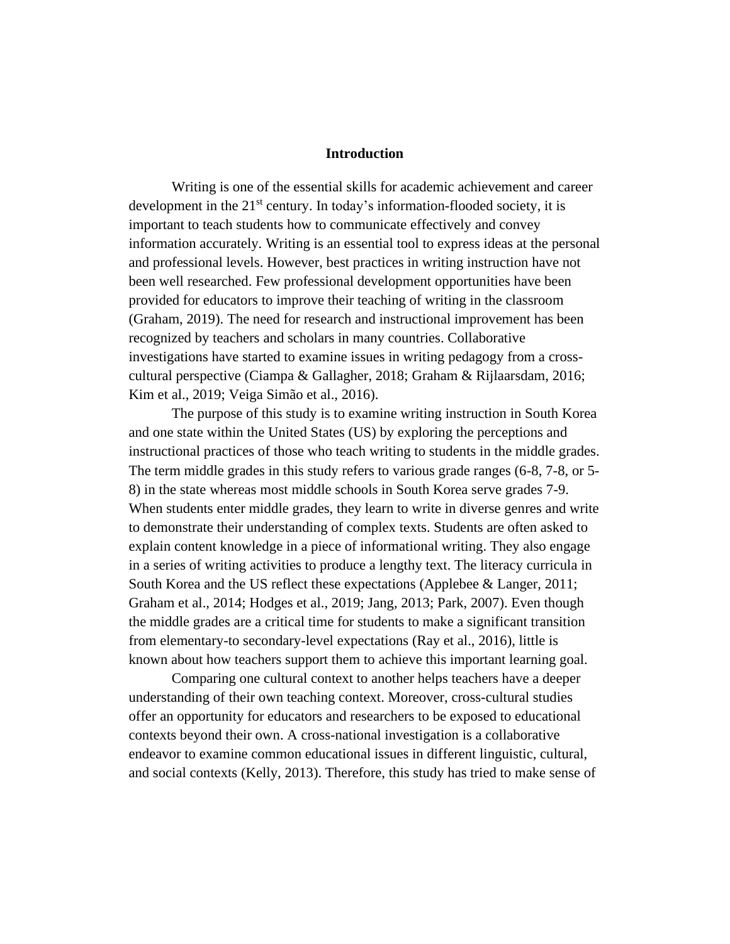#### **Introduction**

Writing is one of the essential skills for academic achievement and career development in the  $21^{st}$  century. In today's information-flooded society, it is important to teach students how to communicate effectively and convey information accurately. Writing is an essential tool to express ideas at the personal and professional levels. However, best practices in writing instruction have not been well researched. Few professional development opportunities have been provided for educators to improve their teaching of writing in the classroom (Graham, 2019). The need for research and instructional improvement has been recognized by teachers and scholars in many countries. Collaborative investigations have started to examine issues in writing pedagogy from a crosscultural perspective (Ciampa & Gallagher, 2018; Graham & Rijlaarsdam, 2016; Kim et al., 2019; Veiga Simão et al., 2016).

The purpose of this study is to examine writing instruction in South Korea and one state within the United States (US) by exploring the perceptions and instructional practices of those who teach writing to students in the middle grades. The term middle grades in this study refers to various grade ranges (6-8, 7-8, or 5- 8) in the state whereas most middle schools in South Korea serve grades 7-9. When students enter middle grades, they learn to write in diverse genres and write to demonstrate their understanding of complex texts. Students are often asked to explain content knowledge in a piece of informational writing. They also engage in a series of writing activities to produce a lengthy text. The literacy curricula in South Korea and the US reflect these expectations (Applebee & Langer, 2011; Graham et al., 2014; Hodges et al., 2019; Jang, 2013; Park, 2007). Even though the middle grades are a critical time for students to make a significant transition from elementary-to secondary-level expectations (Ray et al., 2016), little is known about how teachers support them to achieve this important learning goal.

Comparing one cultural context to another helps teachers have a deeper understanding of their own teaching context. Moreover, cross-cultural studies offer an opportunity for educators and researchers to be exposed to educational contexts beyond their own. A cross-national investigation is a collaborative endeavor to examine common educational issues in different linguistic, cultural, and social contexts (Kelly, 2013). Therefore, this study has tried to make sense of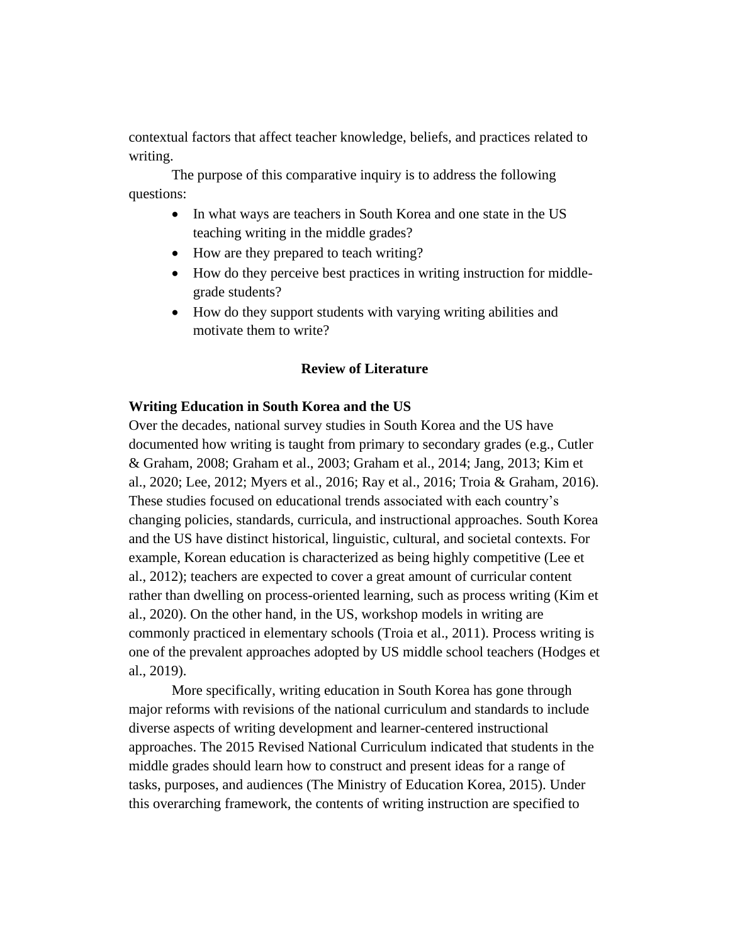contextual factors that affect teacher knowledge, beliefs, and practices related to writing.

The purpose of this comparative inquiry is to address the following questions:

- In what ways are teachers in South Korea and one state in the US teaching writing in the middle grades?
- How are they prepared to teach writing?
- How do they perceive best practices in writing instruction for middlegrade students?
- How do they support students with varying writing abilities and motivate them to write?

#### **Review of Literature**

#### **Writing Education in South Korea and the US**

Over the decades, national survey studies in South Korea and the US have documented how writing is taught from primary to secondary grades (e.g., Cutler & Graham, 2008; Graham et al., 2003; Graham et al., 2014; Jang, 2013; Kim et al., 2020; Lee, 2012; Myers et al., 2016; Ray et al., 2016; Troia & Graham, 2016). These studies focused on educational trends associated with each country's changing policies, standards, curricula, and instructional approaches. South Korea and the US have distinct historical, linguistic, cultural, and societal contexts. For example, Korean education is characterized as being highly competitive (Lee et al., 2012); teachers are expected to cover a great amount of curricular content rather than dwelling on process-oriented learning, such as process writing (Kim et al., 2020). On the other hand, in the US, workshop models in writing are commonly practiced in elementary schools (Troia et al., 2011). Process writing is one of the prevalent approaches adopted by US middle school teachers (Hodges et al., 2019).

More specifically, writing education in South Korea has gone through major reforms with revisions of the national curriculum and standards to include diverse aspects of writing development and learner-centered instructional approaches. The 2015 Revised National Curriculum indicated that students in the middle grades should learn how to construct and present ideas for a range of tasks, purposes, and audiences (The Ministry of Education Korea, 2015). Under this overarching framework, the contents of writing instruction are specified to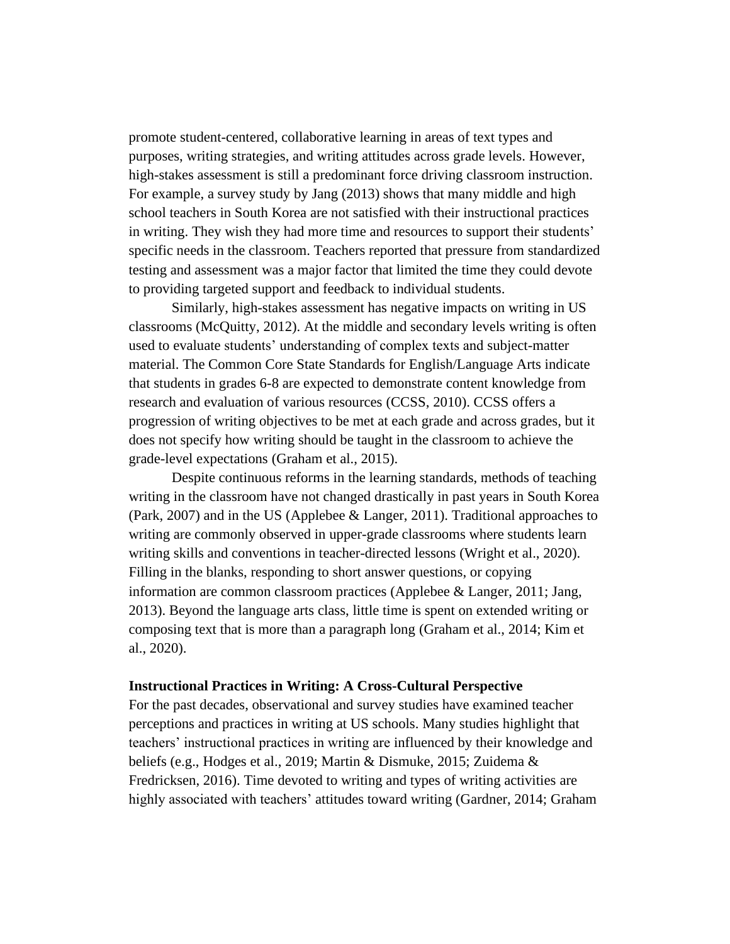promote student-centered, collaborative learning in areas of text types and purposes, writing strategies, and writing attitudes across grade levels. However, high-stakes assessment is still a predominant force driving classroom instruction. For example, a survey study by Jang (2013) shows that many middle and high school teachers in South Korea are not satisfied with their instructional practices in writing. They wish they had more time and resources to support their students' specific needs in the classroom. Teachers reported that pressure from standardized testing and assessment was a major factor that limited the time they could devote to providing targeted support and feedback to individual students.

Similarly, high-stakes assessment has negative impacts on writing in US classrooms (McQuitty, 2012). At the middle and secondary levels writing is often used to evaluate students' understanding of complex texts and subject-matter material. The Common Core State Standards for English/Language Arts indicate that students in grades 6-8 are expected to demonstrate content knowledge from research and evaluation of various resources (CCSS, 2010). CCSS offers a progression of writing objectives to be met at each grade and across grades, but it does not specify how writing should be taught in the classroom to achieve the grade-level expectations (Graham et al., 2015).

Despite continuous reforms in the learning standards, methods of teaching writing in the classroom have not changed drastically in past years in South Korea (Park, 2007) and in the US (Applebee & Langer, 2011). Traditional approaches to writing are commonly observed in upper-grade classrooms where students learn writing skills and conventions in teacher-directed lessons (Wright et al., 2020). Filling in the blanks, responding to short answer questions, or copying information are common classroom practices (Applebee  $\&$  Langer, 2011; Jang, 2013). Beyond the language arts class, little time is spent on extended writing or composing text that is more than a paragraph long (Graham et al., 2014; Kim et al., 2020).

#### **Instructional Practices in Writing: A Cross-Cultural Perspective**

For the past decades, observational and survey studies have examined teacher perceptions and practices in writing at US schools. Many studies highlight that teachers' instructional practices in writing are influenced by their knowledge and beliefs (e.g., Hodges et al., 2019; Martin & Dismuke, 2015; Zuidema & Fredricksen, 2016). Time devoted to writing and types of writing activities are highly associated with teachers' attitudes toward writing (Gardner, 2014; Graham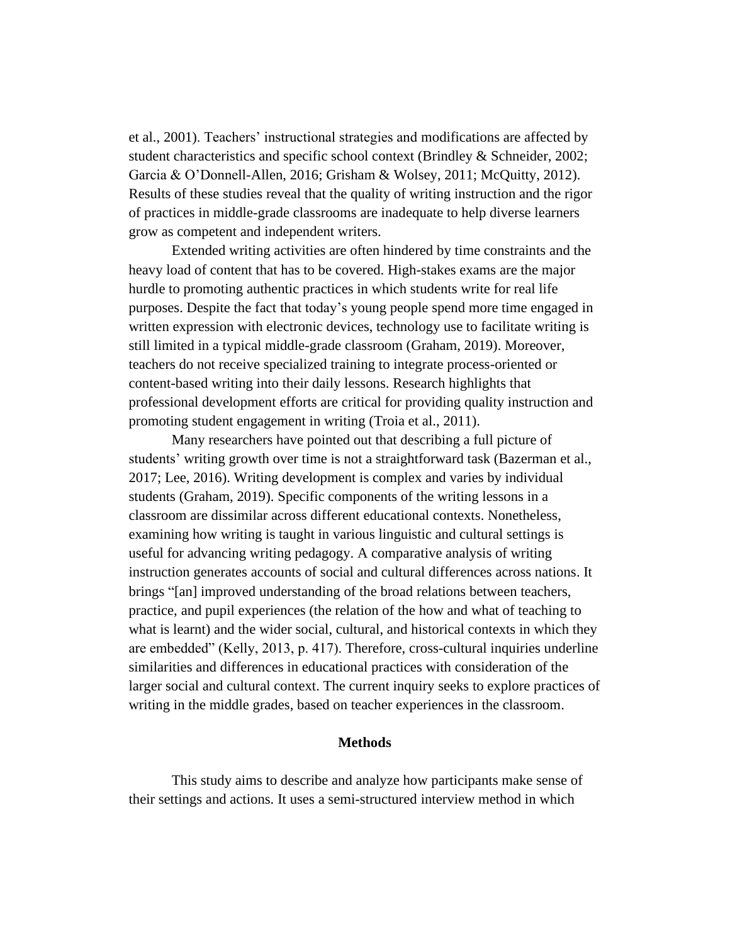et al., 2001). Teachers' instructional strategies and modifications are affected by student characteristics and specific school context (Brindley & Schneider, 2002; Garcia & O'Donnell-Allen, 2016; Grisham & Wolsey, 2011; McQuitty, 2012). Results of these studies reveal that the quality of writing instruction and the rigor of practices in middle-grade classrooms are inadequate to help diverse learners grow as competent and independent writers.

Extended writing activities are often hindered by time constraints and the heavy load of content that has to be covered. High-stakes exams are the major hurdle to promoting authentic practices in which students write for real life purposes. Despite the fact that today's young people spend more time engaged in written expression with electronic devices, technology use to facilitate writing is still limited in a typical middle-grade classroom (Graham, 2019). Moreover, teachers do not receive specialized training to integrate process-oriented or content-based writing into their daily lessons. Research highlights that professional development efforts are critical for providing quality instruction and promoting student engagement in writing (Troia et al., 2011).

Many researchers have pointed out that describing a full picture of students' writing growth over time is not a straightforward task (Bazerman et al., 2017; Lee, 2016). Writing development is complex and varies by individual students (Graham, 2019). Specific components of the writing lessons in a classroom are dissimilar across different educational contexts. Nonetheless, examining how writing is taught in various linguistic and cultural settings is useful for advancing writing pedagogy. A comparative analysis of writing instruction generates accounts of social and cultural differences across nations. It brings "[an] improved understanding of the broad relations between teachers, practice, and pupil experiences (the relation of the how and what of teaching to what is learnt) and the wider social, cultural, and historical contexts in which they are embedded" (Kelly, 2013, p. 417). Therefore, cross-cultural inquiries underline similarities and differences in educational practices with consideration of the larger social and cultural context. The current inquiry seeks to explore practices of writing in the middle grades, based on teacher experiences in the classroom.

#### **Methods**

This study aims to describe and analyze how participants make sense of their settings and actions. It uses a semi-structured interview method in which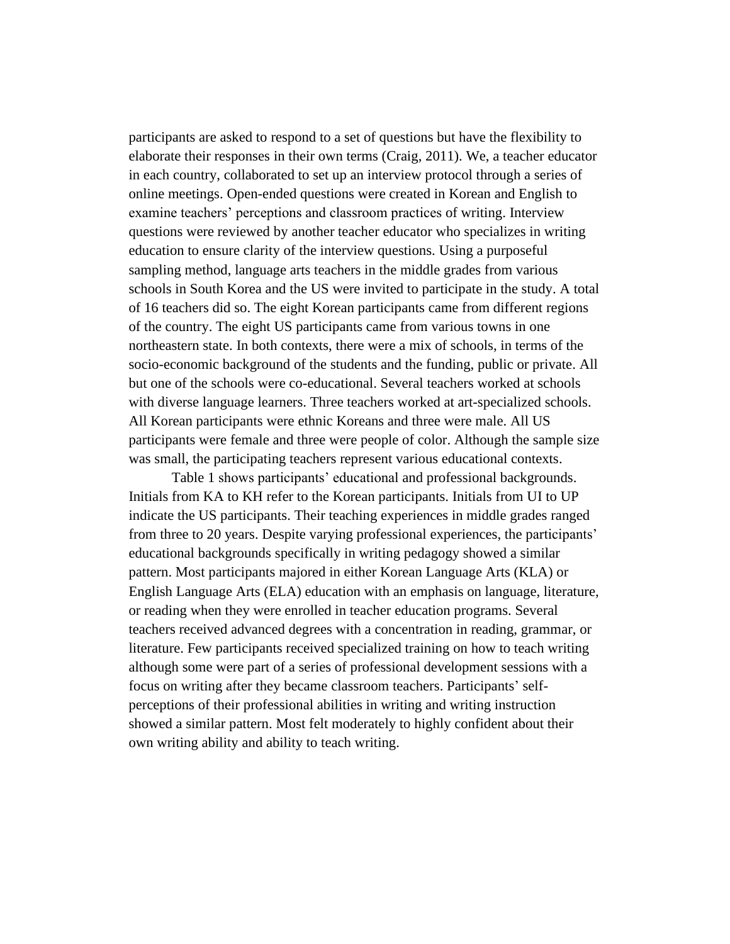participants are asked to respond to a set of questions but have the flexibility to elaborate their responses in their own terms (Craig, 2011). We, a teacher educator in each country, collaborated to set up an interview protocol through a series of online meetings. Open-ended questions were created in Korean and English to examine teachers' perceptions and classroom practices of writing. Interview questions were reviewed by another teacher educator who specializes in writing education to ensure clarity of the interview questions. Using a purposeful sampling method, language arts teachers in the middle grades from various schools in South Korea and the US were invited to participate in the study. A total of 16 teachers did so. The eight Korean participants came from different regions of the country. The eight US participants came from various towns in one northeastern state. In both contexts, there were a mix of schools, in terms of the socio-economic background of the students and the funding, public or private. All but one of the schools were co-educational. Several teachers worked at schools with diverse language learners. Three teachers worked at art-specialized schools. All Korean participants were ethnic Koreans and three were male. All US participants were female and three were people of color. Although the sample size was small, the participating teachers represent various educational contexts.

Table 1 shows participants' educational and professional backgrounds. Initials from KA to KH refer to the Korean participants. Initials from UI to UP indicate the US participants. Their teaching experiences in middle grades ranged from three to 20 years. Despite varying professional experiences, the participants' educational backgrounds specifically in writing pedagogy showed a similar pattern. Most participants majored in either Korean Language Arts (KLA) or English Language Arts (ELA) education with an emphasis on language, literature, or reading when they were enrolled in teacher education programs. Several teachers received advanced degrees with a concentration in reading, grammar, or literature. Few participants received specialized training on how to teach writing although some were part of a series of professional development sessions with a focus on writing after they became classroom teachers. Participants' selfperceptions of their professional abilities in writing and writing instruction showed a similar pattern. Most felt moderately to highly confident about their own writing ability and ability to teach writing.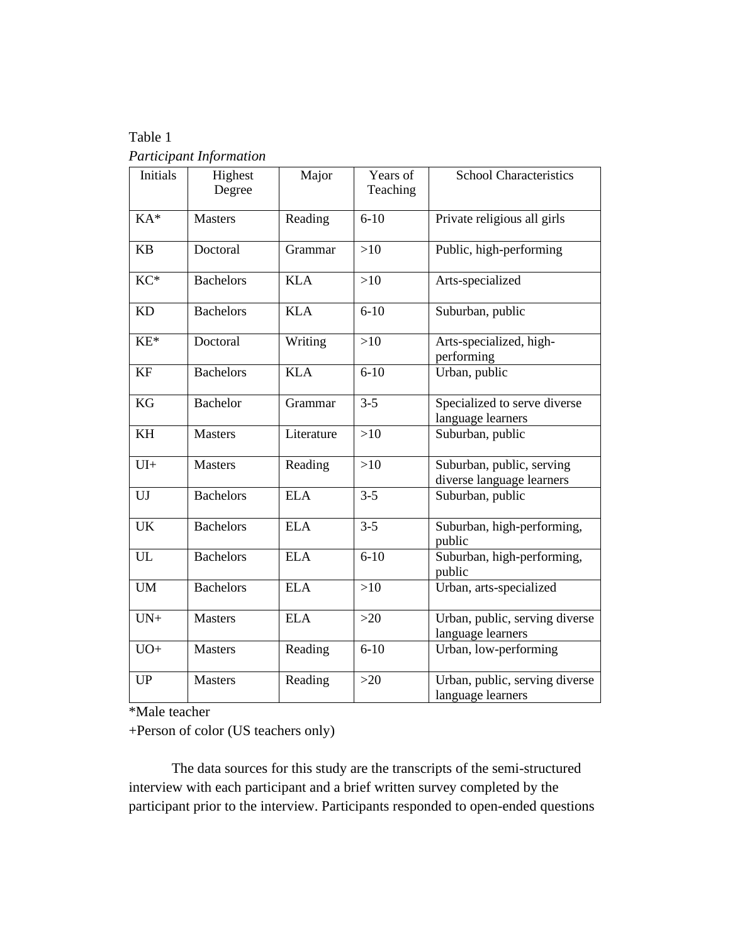Table 1 *Participant Information*

| $\overline{ }$<br>Initials | Highest<br>Degree | Major      | Years of<br>Teaching | School Characteristics                                 |
|----------------------------|-------------------|------------|----------------------|--------------------------------------------------------|
| KA*                        | <b>Masters</b>    | Reading    | $6 - 10$             | Private religious all girls                            |
| <b>KB</b>                  | Doctoral          | Grammar    | >10                  | Public, high-performing                                |
| $KC*$                      | <b>Bachelors</b>  | <b>KLA</b> | $>10$                | Arts-specialized                                       |
| <b>KD</b>                  | <b>Bachelors</b>  | <b>KLA</b> | $6 - 10$             | Suburban, public                                       |
| $KE^*$                     | Doctoral          | Writing    | $>10$                | Arts-specialized, high-<br>performing                  |
| KF                         | <b>Bachelors</b>  | <b>KLA</b> | $6 - 10$             | Urban, public                                          |
| KG                         | <b>Bachelor</b>   | Grammar    | $3 - 5$              | Specialized to serve diverse<br>language learners      |
| KH                         | <b>Masters</b>    | Literature | $>10$                | Suburban, public                                       |
| $UI+$                      | <b>Masters</b>    | Reading    | $>10$                | Suburban, public, serving<br>diverse language learners |
| UJ                         | <b>Bachelors</b>  | <b>ELA</b> | $3 - 5$              | Suburban, public                                       |
| <b>UK</b>                  | <b>Bachelors</b>  | <b>ELA</b> | $3 - 5$              | Suburban, high-performing,<br>public                   |
| UL                         | <b>Bachelors</b>  | <b>ELA</b> | $6 - 10$             | Suburban, high-performing,<br>public                   |
| <b>UM</b>                  | <b>Bachelors</b>  | <b>ELA</b> | >10                  | Urban, arts-specialized                                |
| $UN+$                      | <b>Masters</b>    | <b>ELA</b> | $>20$                | Urban, public, serving diverse<br>language learners    |
| $UO+$                      | <b>Masters</b>    | Reading    | $6 - 10$             | Urban, low-performing                                  |
| UP                         | <b>Masters</b>    | Reading    | $>20$                | Urban, public, serving diverse<br>language learners    |

\*Male teacher

+Person of color (US teachers only)

The data sources for this study are the transcripts of the semi-structured interview with each participant and a brief written survey completed by the participant prior to the interview. Participants responded to open-ended questions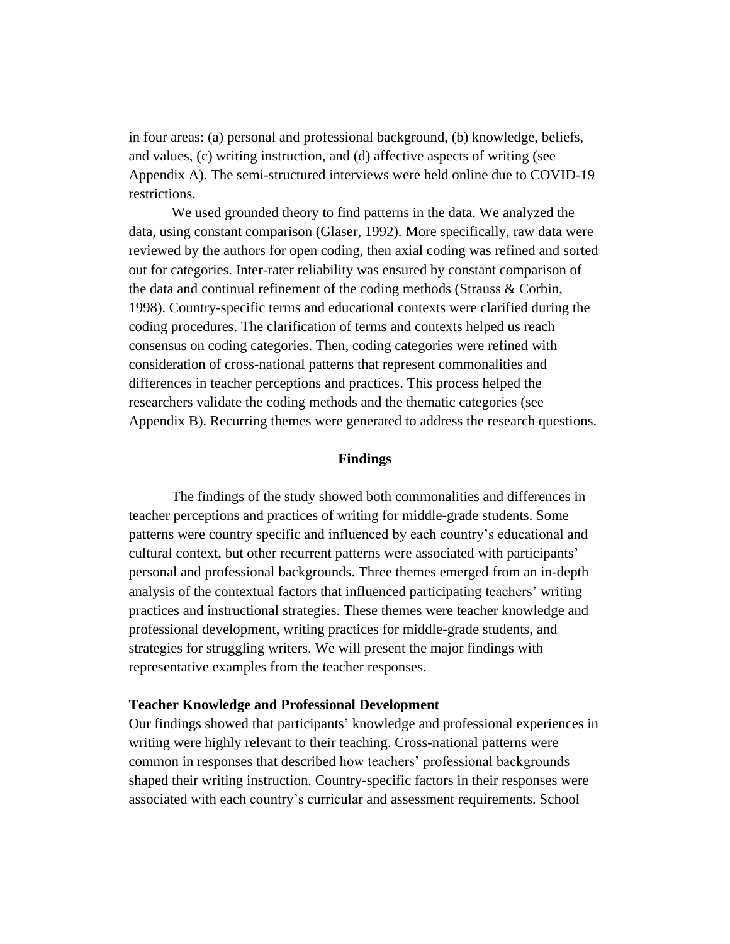in four areas: (a) personal and professional background, (b) knowledge, beliefs, and values, (c) writing instruction, and (d) affective aspects of writing (see Appendix A). The semi-structured interviews were held online due to COVID-19 restrictions.

We used grounded theory to find patterns in the data. We analyzed the data, using constant comparison (Glaser, 1992). More specifically, raw data were reviewed by the authors for open coding, then axial coding was refined and sorted out for categories. Inter-rater reliability was ensured by constant comparison of the data and continual refinement of the coding methods (Strauss & Corbin, 1998). Country-specific terms and educational contexts were clarified during the coding procedures. The clarification of terms and contexts helped us reach consensus on coding categories. Then, coding categories were refined with consideration of cross-national patterns that represent commonalities and differences in teacher perceptions and practices. This process helped the researchers validate the coding methods and the thematic categories (see Appendix B). Recurring themes were generated to address the research questions.

#### **Findings**

The findings of the study showed both commonalities and differences in teacher perceptions and practices of writing for middle-grade students. Some patterns were country specific and influenced by each country's educational and cultural context, but other recurrent patterns were associated with participants' personal and professional backgrounds. Three themes emerged from an in-depth analysis of the contextual factors that influenced participating teachers' writing practices and instructional strategies. These themes were teacher knowledge and professional development, writing practices for middle-grade students, and strategies for struggling writers. We will present the major findings with representative examples from the teacher responses.

#### **Teacher Knowledge and Professional Development**

Our findings showed that participants' knowledge and professional experiences in writing were highly relevant to their teaching. Cross-national patterns were common in responses that described how teachers' professional backgrounds shaped their writing instruction. Country-specific factors in their responses were associated with each country's curricular and assessment requirements. School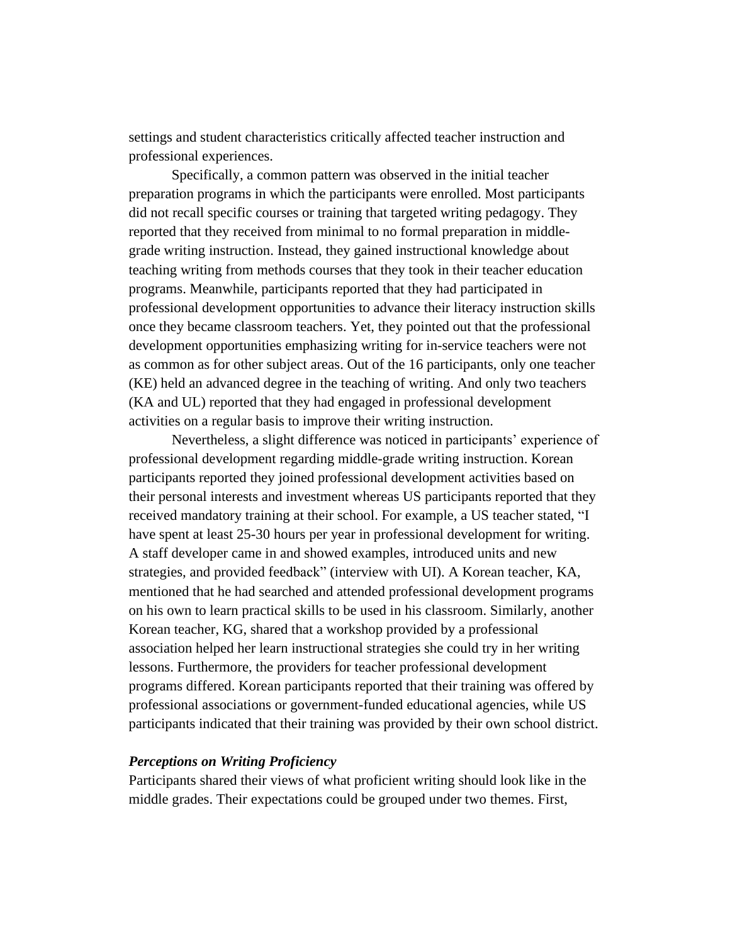settings and student characteristics critically affected teacher instruction and professional experiences.

Specifically, a common pattern was observed in the initial teacher preparation programs in which the participants were enrolled. Most participants did not recall specific courses or training that targeted writing pedagogy. They reported that they received from minimal to no formal preparation in middlegrade writing instruction. Instead, they gained instructional knowledge about teaching writing from methods courses that they took in their teacher education programs. Meanwhile, participants reported that they had participated in professional development opportunities to advance their literacy instruction skills once they became classroom teachers. Yet, they pointed out that the professional development opportunities emphasizing writing for in-service teachers were not as common as for other subject areas. Out of the 16 participants, only one teacher (KE) held an advanced degree in the teaching of writing. And only two teachers (KA and UL) reported that they had engaged in professional development activities on a regular basis to improve their writing instruction.

Nevertheless, a slight difference was noticed in participants' experience of professional development regarding middle-grade writing instruction. Korean participants reported they joined professional development activities based on their personal interests and investment whereas US participants reported that they received mandatory training at their school. For example, a US teacher stated, "I have spent at least 25-30 hours per year in professional development for writing. A staff developer came in and showed examples, introduced units and new strategies, and provided feedback" (interview with UI). A Korean teacher, KA, mentioned that he had searched and attended professional development programs on his own to learn practical skills to be used in his classroom. Similarly, another Korean teacher, KG, shared that a workshop provided by a professional association helped her learn instructional strategies she could try in her writing lessons. Furthermore, the providers for teacher professional development programs differed. Korean participants reported that their training was offered by professional associations or government-funded educational agencies, while US participants indicated that their training was provided by their own school district.

#### *Perceptions on Writing Proficiency*

Participants shared their views of what proficient writing should look like in the middle grades. Their expectations could be grouped under two themes. First,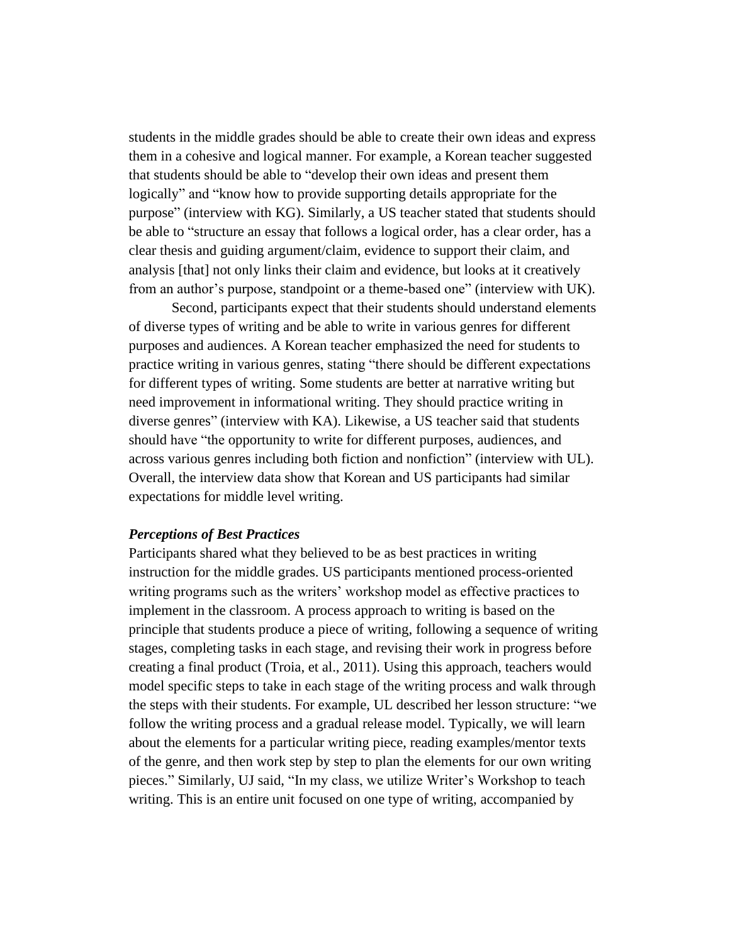students in the middle grades should be able to create their own ideas and express them in a cohesive and logical manner. For example, a Korean teacher suggested that students should be able to "develop their own ideas and present them logically" and "know how to provide supporting details appropriate for the purpose" (interview with KG). Similarly, a US teacher stated that students should be able to "structure an essay that follows a logical order, has a clear order, has a clear thesis and guiding argument/claim, evidence to support their claim, and analysis [that] not only links their claim and evidence, but looks at it creatively from an author's purpose, standpoint or a theme-based one" (interview with UK).

Second, participants expect that their students should understand elements of diverse types of writing and be able to write in various genres for different purposes and audiences. A Korean teacher emphasized the need for students to practice writing in various genres, stating "there should be different expectations for different types of writing. Some students are better at narrative writing but need improvement in informational writing. They should practice writing in diverse genres" (interview with KA). Likewise, a US teacher said that students should have "the opportunity to write for different purposes, audiences, and across various genres including both fiction and nonfiction" (interview with UL). Overall, the interview data show that Korean and US participants had similar expectations for middle level writing.

#### *Perceptions of Best Practices*

Participants shared what they believed to be as best practices in writing instruction for the middle grades. US participants mentioned process-oriented writing programs such as the writers' workshop model as effective practices to implement in the classroom. A process approach to writing is based on the principle that students produce a piece of writing, following a sequence of writing stages, completing tasks in each stage, and revising their work in progress before creating a final product (Troia, et al., 2011). Using this approach, teachers would model specific steps to take in each stage of the writing process and walk through the steps with their students. For example, UL described her lesson structure: "we follow the writing process and a gradual release model. Typically, we will learn about the elements for a particular writing piece, reading examples/mentor texts of the genre, and then work step by step to plan the elements for our own writing pieces." Similarly, UJ said, "In my class, we utilize Writer's Workshop to teach writing. This is an entire unit focused on one type of writing, accompanied by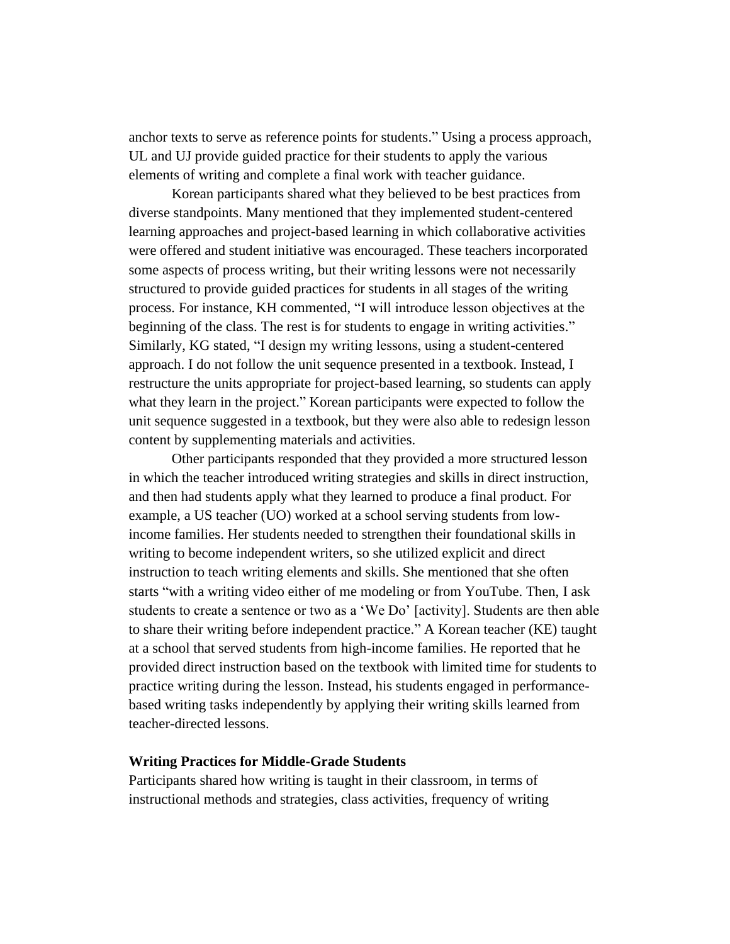anchor texts to serve as reference points for students." Using a process approach, UL and UJ provide guided practice for their students to apply the various elements of writing and complete a final work with teacher guidance.

Korean participants shared what they believed to be best practices from diverse standpoints. Many mentioned that they implemented student-centered learning approaches and project-based learning in which collaborative activities were offered and student initiative was encouraged. These teachers incorporated some aspects of process writing, but their writing lessons were not necessarily structured to provide guided practices for students in all stages of the writing process. For instance, KH commented, "I will introduce lesson objectives at the beginning of the class. The rest is for students to engage in writing activities." Similarly, KG stated, "I design my writing lessons, using a student-centered approach. I do not follow the unit sequence presented in a textbook. Instead, I restructure the units appropriate for project-based learning, so students can apply what they learn in the project." Korean participants were expected to follow the unit sequence suggested in a textbook, but they were also able to redesign lesson content by supplementing materials and activities.

Other participants responded that they provided a more structured lesson in which the teacher introduced writing strategies and skills in direct instruction, and then had students apply what they learned to produce a final product. For example, a US teacher (UO) worked at a school serving students from lowincome families. Her students needed to strengthen their foundational skills in writing to become independent writers, so she utilized explicit and direct instruction to teach writing elements and skills. She mentioned that she often starts "with a writing video either of me modeling or from YouTube. Then, I ask students to create a sentence or two as a 'We Do' [activity]. Students are then able to share their writing before independent practice." A Korean teacher (KE) taught at a school that served students from high-income families. He reported that he provided direct instruction based on the textbook with limited time for students to practice writing during the lesson. Instead, his students engaged in performancebased writing tasks independently by applying their writing skills learned from teacher-directed lessons.

#### **Writing Practices for Middle-Grade Students**

Participants shared how writing is taught in their classroom, in terms of instructional methods and strategies, class activities, frequency of writing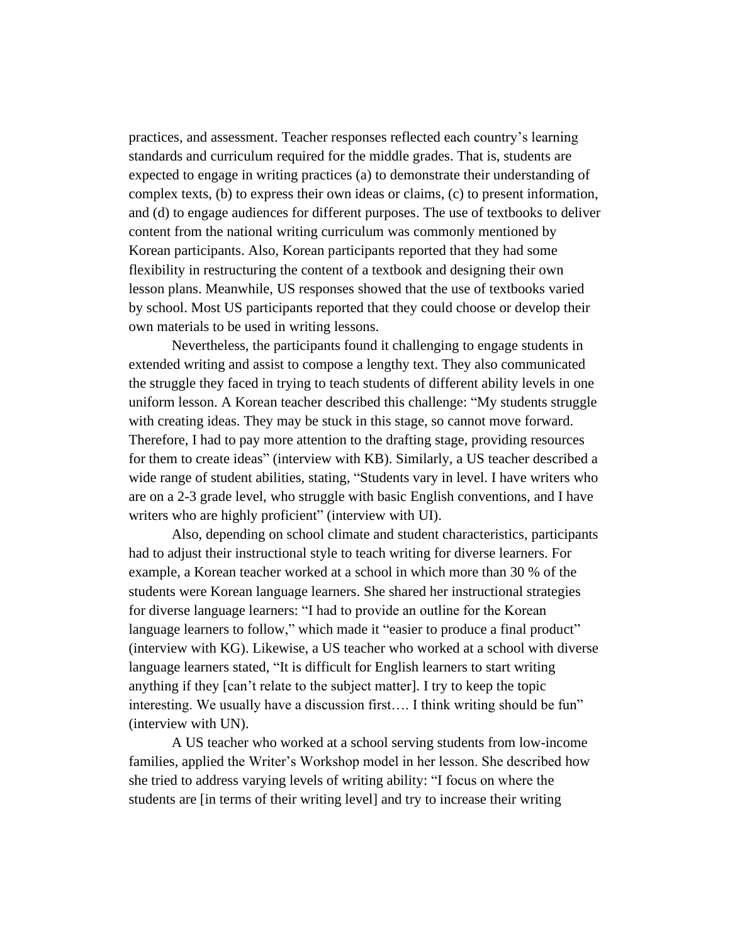practices, and assessment. Teacher responses reflected each country's learning standards and curriculum required for the middle grades. That is, students are expected to engage in writing practices (a) to demonstrate their understanding of complex texts, (b) to express their own ideas or claims, (c) to present information, and (d) to engage audiences for different purposes. The use of textbooks to deliver content from the national writing curriculum was commonly mentioned by Korean participants. Also, Korean participants reported that they had some flexibility in restructuring the content of a textbook and designing their own lesson plans. Meanwhile, US responses showed that the use of textbooks varied by school. Most US participants reported that they could choose or develop their own materials to be used in writing lessons.

Nevertheless, the participants found it challenging to engage students in extended writing and assist to compose a lengthy text. They also communicated the struggle they faced in trying to teach students of different ability levels in one uniform lesson. A Korean teacher described this challenge: "My students struggle with creating ideas. They may be stuck in this stage, so cannot move forward. Therefore, I had to pay more attention to the drafting stage, providing resources for them to create ideas" (interview with KB). Similarly, a US teacher described a wide range of student abilities, stating, "Students vary in level. I have writers who are on a 2-3 grade level, who struggle with basic English conventions, and I have writers who are highly proficient" (interview with UI).

Also, depending on school climate and student characteristics, participants had to adjust their instructional style to teach writing for diverse learners. For example, a Korean teacher worked at a school in which more than 30 % of the students were Korean language learners. She shared her instructional strategies for diverse language learners: "I had to provide an outline for the Korean language learners to follow," which made it "easier to produce a final product" (interview with KG). Likewise, a US teacher who worked at a school with diverse language learners stated, "It is difficult for English learners to start writing anything if they [can't relate to the subject matter]. I try to keep the topic interesting. We usually have a discussion first…. I think writing should be fun" (interview with UN).

A US teacher who worked at a school serving students from low-income families, applied the Writer's Workshop model in her lesson. She described how she tried to address varying levels of writing ability: "I focus on where the students are [in terms of their writing level] and try to increase their writing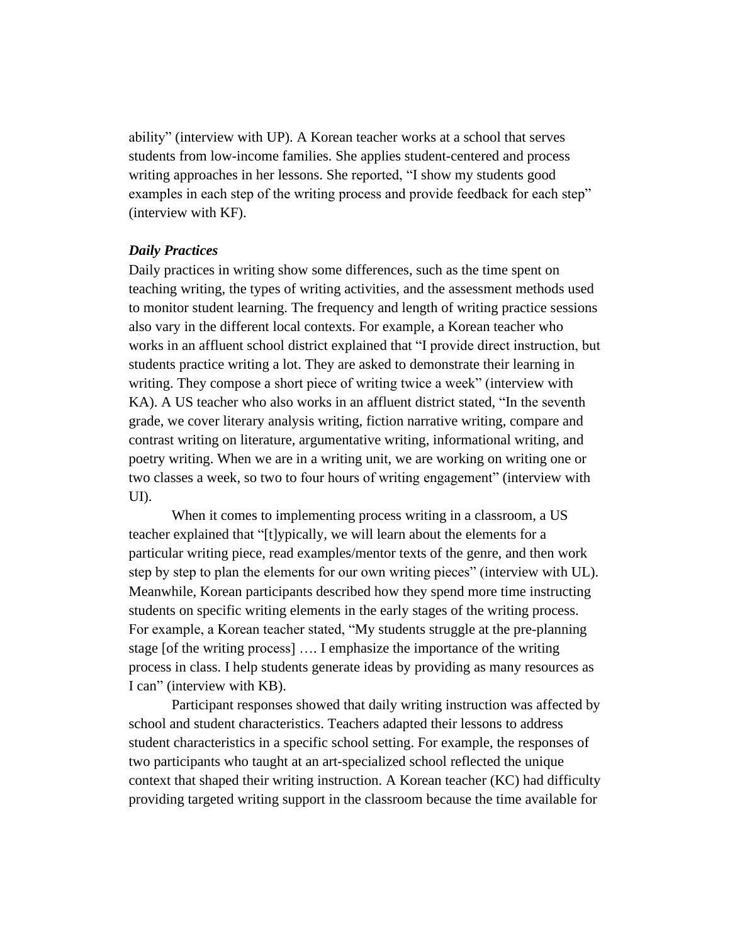ability" (interview with UP). A Korean teacher works at a school that serves students from low-income families. She applies student-centered and process writing approaches in her lessons. She reported, "I show my students good examples in each step of the writing process and provide feedback for each step" (interview with KF).

#### *Daily Practices*

Daily practices in writing show some differences, such as the time spent on teaching writing, the types of writing activities, and the assessment methods used to monitor student learning. The frequency and length of writing practice sessions also vary in the different local contexts. For example, a Korean teacher who works in an affluent school district explained that "I provide direct instruction, but students practice writing a lot. They are asked to demonstrate their learning in writing. They compose a short piece of writing twice a week" (interview with KA). A US teacher who also works in an affluent district stated, "In the seventh grade, we cover literary analysis writing, fiction narrative writing, compare and contrast writing on literature, argumentative writing, informational writing, and poetry writing. When we are in a writing unit, we are working on writing one or two classes a week, so two to four hours of writing engagement" (interview with UI).

When it comes to implementing process writing in a classroom, a US teacher explained that "[t]ypically, we will learn about the elements for a particular writing piece, read examples/mentor texts of the genre, and then work step by step to plan the elements for our own writing pieces" (interview with UL). Meanwhile, Korean participants described how they spend more time instructing students on specific writing elements in the early stages of the writing process. For example, a Korean teacher stated, "My students struggle at the pre-planning stage [of the writing process] …. I emphasize the importance of the writing process in class. I help students generate ideas by providing as many resources as I can" (interview with KB).

Participant responses showed that daily writing instruction was affected by school and student characteristics. Teachers adapted their lessons to address student characteristics in a specific school setting. For example, the responses of two participants who taught at an art-specialized school reflected the unique context that shaped their writing instruction. A Korean teacher (KC) had difficulty providing targeted writing support in the classroom because the time available for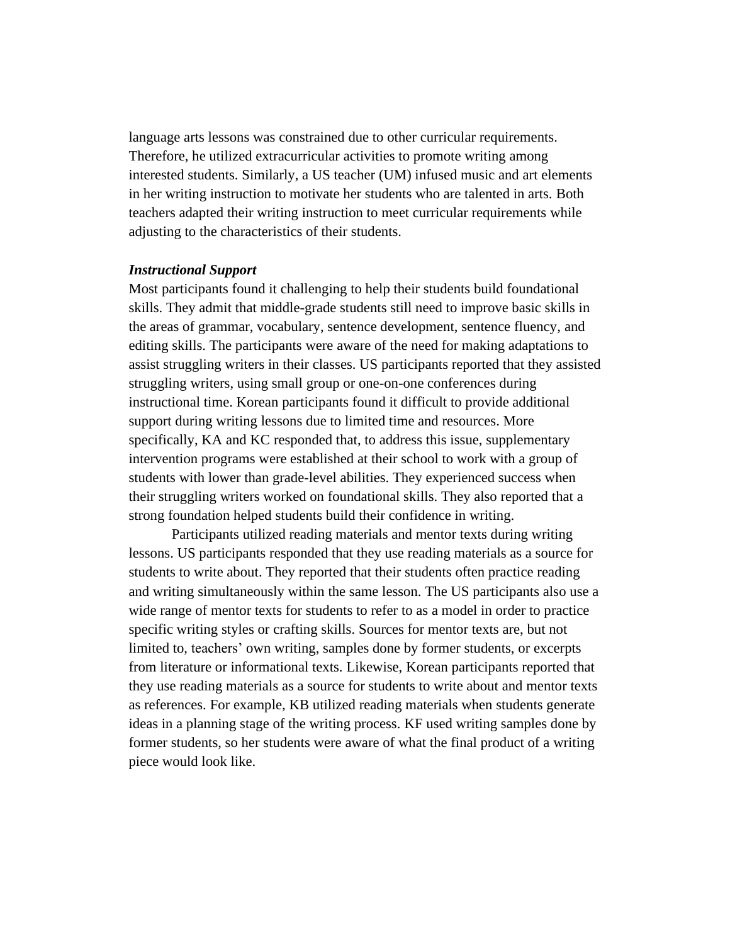language arts lessons was constrained due to other curricular requirements. Therefore, he utilized extracurricular activities to promote writing among interested students. Similarly, a US teacher (UM) infused music and art elements in her writing instruction to motivate her students who are talented in arts. Both teachers adapted their writing instruction to meet curricular requirements while adjusting to the characteristics of their students.

#### *Instructional Support*

Most participants found it challenging to help their students build foundational skills. They admit that middle-grade students still need to improve basic skills in the areas of grammar, vocabulary, sentence development, sentence fluency, and editing skills. The participants were aware of the need for making adaptations to assist struggling writers in their classes. US participants reported that they assisted struggling writers, using small group or one-on-one conferences during instructional time. Korean participants found it difficult to provide additional support during writing lessons due to limited time and resources. More specifically, KA and KC responded that, to address this issue, supplementary intervention programs were established at their school to work with a group of students with lower than grade-level abilities. They experienced success when their struggling writers worked on foundational skills. They also reported that a strong foundation helped students build their confidence in writing.

Participants utilized reading materials and mentor texts during writing lessons. US participants responded that they use reading materials as a source for students to write about. They reported that their students often practice reading and writing simultaneously within the same lesson. The US participants also use a wide range of mentor texts for students to refer to as a model in order to practice specific writing styles or crafting skills. Sources for mentor texts are, but not limited to, teachers' own writing, samples done by former students, or excerpts from literature or informational texts. Likewise, Korean participants reported that they use reading materials as a source for students to write about and mentor texts as references. For example, KB utilized reading materials when students generate ideas in a planning stage of the writing process. KF used writing samples done by former students, so her students were aware of what the final product of a writing piece would look like.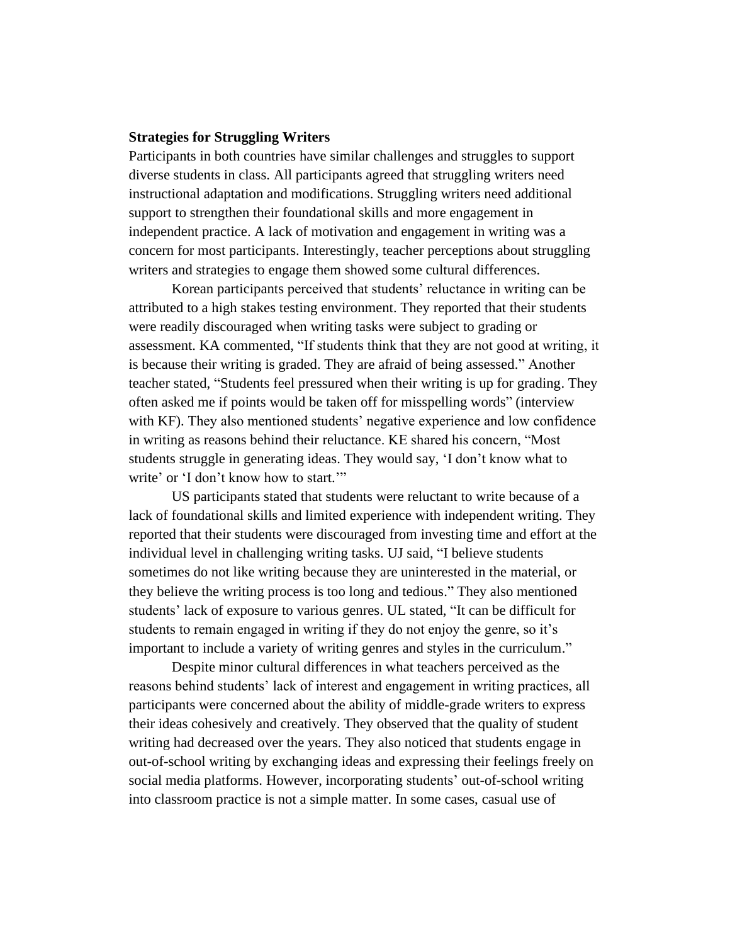#### **Strategies for Struggling Writers**

Participants in both countries have similar challenges and struggles to support diverse students in class. All participants agreed that struggling writers need instructional adaptation and modifications. Struggling writers need additional support to strengthen their foundational skills and more engagement in independent practice. A lack of motivation and engagement in writing was a concern for most participants. Interestingly, teacher perceptions about struggling writers and strategies to engage them showed some cultural differences.

Korean participants perceived that students' reluctance in writing can be attributed to a high stakes testing environment. They reported that their students were readily discouraged when writing tasks were subject to grading or assessment. KA commented, "If students think that they are not good at writing, it is because their writing is graded. They are afraid of being assessed." Another teacher stated, "Students feel pressured when their writing is up for grading. They often asked me if points would be taken off for misspelling words" (interview with KF). They also mentioned students' negative experience and low confidence in writing as reasons behind their reluctance. KE shared his concern, "Most students struggle in generating ideas. They would say, 'I don't know what to write' or 'I don't know how to start."

US participants stated that students were reluctant to write because of a lack of foundational skills and limited experience with independent writing. They reported that their students were discouraged from investing time and effort at the individual level in challenging writing tasks. UJ said, "I believe students sometimes do not like writing because they are uninterested in the material, or they believe the writing process is too long and tedious." They also mentioned students' lack of exposure to various genres. UL stated, "It can be difficult for students to remain engaged in writing if they do not enjoy the genre, so it's important to include a variety of writing genres and styles in the curriculum."

Despite minor cultural differences in what teachers perceived as the reasons behind students' lack of interest and engagement in writing practices, all participants were concerned about the ability of middle-grade writers to express their ideas cohesively and creatively. They observed that the quality of student writing had decreased over the years. They also noticed that students engage in out-of-school writing by exchanging ideas and expressing their feelings freely on social media platforms. However, incorporating students' out-of-school writing into classroom practice is not a simple matter. In some cases, casual use of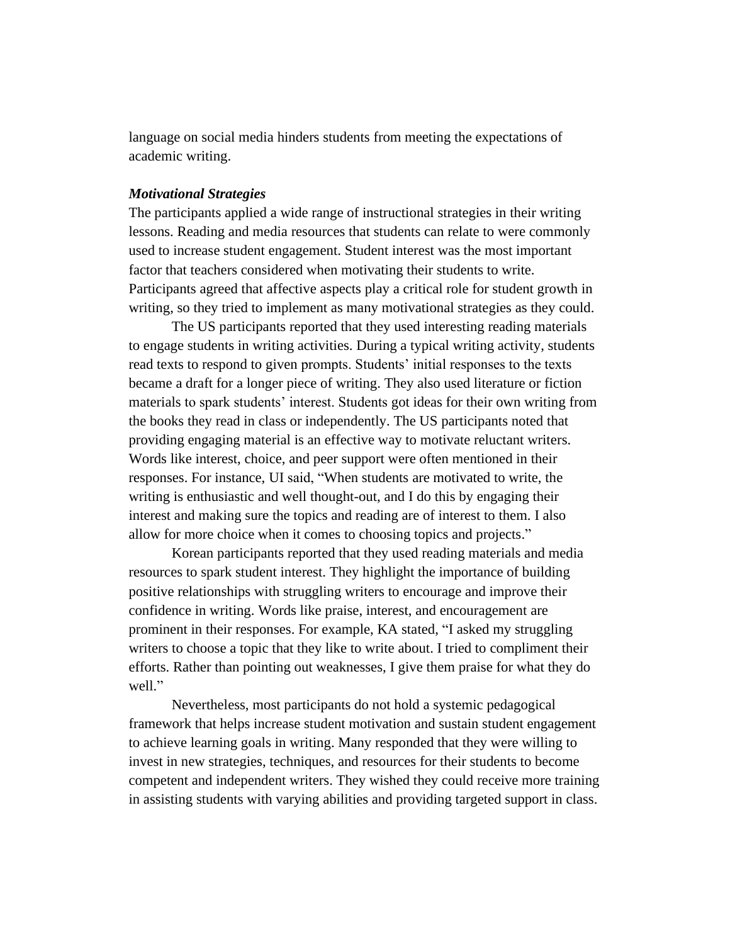language on social media hinders students from meeting the expectations of academic writing.

#### *Motivational Strategies*

The participants applied a wide range of instructional strategies in their writing lessons. Reading and media resources that students can relate to were commonly used to increase student engagement. Student interest was the most important factor that teachers considered when motivating their students to write. Participants agreed that affective aspects play a critical role for student growth in writing, so they tried to implement as many motivational strategies as they could.

The US participants reported that they used interesting reading materials to engage students in writing activities. During a typical writing activity, students read texts to respond to given prompts. Students' initial responses to the texts became a draft for a longer piece of writing. They also used literature or fiction materials to spark students' interest. Students got ideas for their own writing from the books they read in class or independently. The US participants noted that providing engaging material is an effective way to motivate reluctant writers. Words like interest, choice, and peer support were often mentioned in their responses. For instance, UI said, "When students are motivated to write, the writing is enthusiastic and well thought-out, and I do this by engaging their interest and making sure the topics and reading are of interest to them. I also allow for more choice when it comes to choosing topics and projects."

Korean participants reported that they used reading materials and media resources to spark student interest. They highlight the importance of building positive relationships with struggling writers to encourage and improve their confidence in writing. Words like praise, interest, and encouragement are prominent in their responses. For example, KA stated, "I asked my struggling writers to choose a topic that they like to write about. I tried to compliment their efforts. Rather than pointing out weaknesses, I give them praise for what they do well."

Nevertheless, most participants do not hold a systemic pedagogical framework that helps increase student motivation and sustain student engagement to achieve learning goals in writing. Many responded that they were willing to invest in new strategies, techniques, and resources for their students to become competent and independent writers. They wished they could receive more training in assisting students with varying abilities and providing targeted support in class.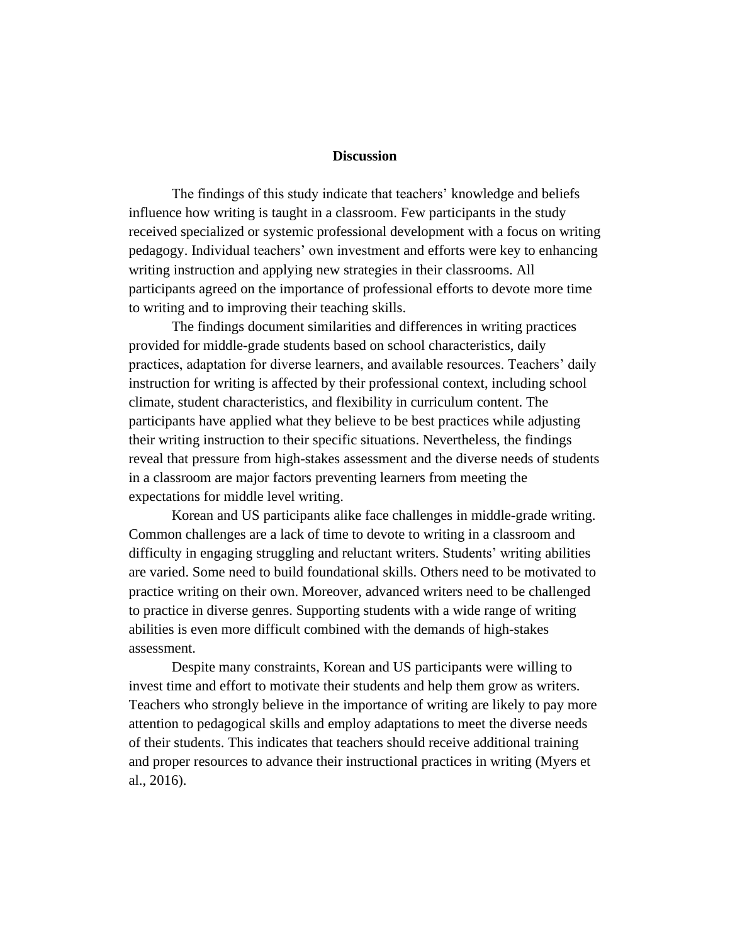#### **Discussion**

The findings of this study indicate that teachers' knowledge and beliefs influence how writing is taught in a classroom. Few participants in the study received specialized or systemic professional development with a focus on writing pedagogy. Individual teachers' own investment and efforts were key to enhancing writing instruction and applying new strategies in their classrooms. All participants agreed on the importance of professional efforts to devote more time to writing and to improving their teaching skills.

The findings document similarities and differences in writing practices provided for middle-grade students based on school characteristics, daily practices, adaptation for diverse learners, and available resources. Teachers' daily instruction for writing is affected by their professional context, including school climate, student characteristics, and flexibility in curriculum content. The participants have applied what they believe to be best practices while adjusting their writing instruction to their specific situations. Nevertheless, the findings reveal that pressure from high-stakes assessment and the diverse needs of students in a classroom are major factors preventing learners from meeting the expectations for middle level writing.

Korean and US participants alike face challenges in middle-grade writing. Common challenges are a lack of time to devote to writing in a classroom and difficulty in engaging struggling and reluctant writers. Students' writing abilities are varied. Some need to build foundational skills. Others need to be motivated to practice writing on their own. Moreover, advanced writers need to be challenged to practice in diverse genres. Supporting students with a wide range of writing abilities is even more difficult combined with the demands of high-stakes assessment.

Despite many constraints, Korean and US participants were willing to invest time and effort to motivate their students and help them grow as writers. Teachers who strongly believe in the importance of writing are likely to pay more attention to pedagogical skills and employ adaptations to meet the diverse needs of their students. This indicates that teachers should receive additional training and proper resources to advance their instructional practices in writing (Myers et al., 2016).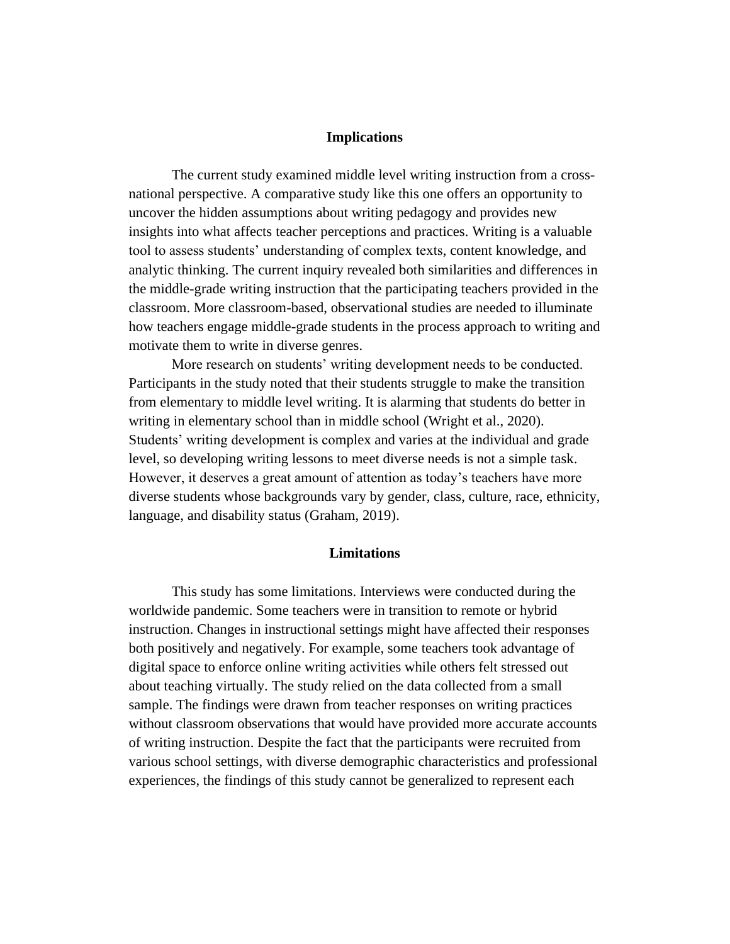#### **Implications**

The current study examined middle level writing instruction from a crossnational perspective. A comparative study like this one offers an opportunity to uncover the hidden assumptions about writing pedagogy and provides new insights into what affects teacher perceptions and practices. Writing is a valuable tool to assess students' understanding of complex texts, content knowledge, and analytic thinking. The current inquiry revealed both similarities and differences in the middle-grade writing instruction that the participating teachers provided in the classroom. More classroom-based, observational studies are needed to illuminate how teachers engage middle-grade students in the process approach to writing and motivate them to write in diverse genres.

More research on students' writing development needs to be conducted. Participants in the study noted that their students struggle to make the transition from elementary to middle level writing. It is alarming that students do better in writing in elementary school than in middle school (Wright et al., 2020). Students' writing development is complex and varies at the individual and grade level, so developing writing lessons to meet diverse needs is not a simple task. However, it deserves a great amount of attention as today's teachers have more diverse students whose backgrounds vary by gender, class, culture, race, ethnicity, language, and disability status (Graham, 2019).

#### **Limitations**

This study has some limitations. Interviews were conducted during the worldwide pandemic. Some teachers were in transition to remote or hybrid instruction. Changes in instructional settings might have affected their responses both positively and negatively. For example, some teachers took advantage of digital space to enforce online writing activities while others felt stressed out about teaching virtually. The study relied on the data collected from a small sample. The findings were drawn from teacher responses on writing practices without classroom observations that would have provided more accurate accounts of writing instruction. Despite the fact that the participants were recruited from various school settings, with diverse demographic characteristics and professional experiences, the findings of this study cannot be generalized to represent each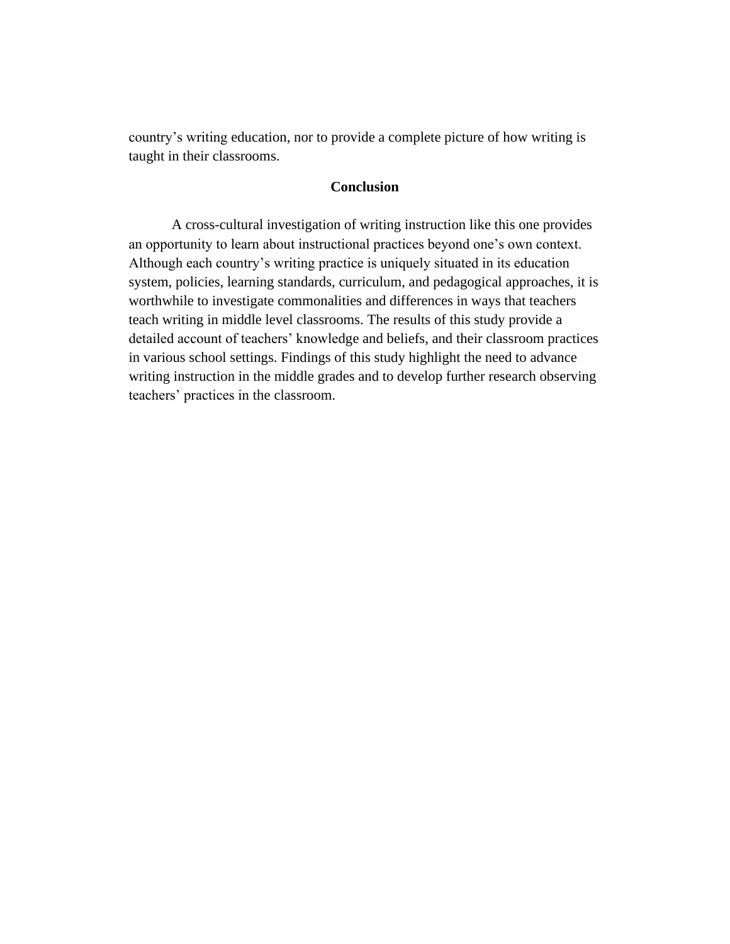country's writing education, nor to provide a complete picture of how writing is taught in their classrooms.

#### **Conclusion**

A cross-cultural investigation of writing instruction like this one provides an opportunity to learn about instructional practices beyond one's own context. Although each country's writing practice is uniquely situated in its education system, policies, learning standards, curriculum, and pedagogical approaches, it is worthwhile to investigate commonalities and differences in ways that teachers teach writing in middle level classrooms. The results of this study provide a detailed account of teachers' knowledge and beliefs, and their classroom practices in various school settings. Findings of this study highlight the need to advance writing instruction in the middle grades and to develop further research observing teachers' practices in the classroom.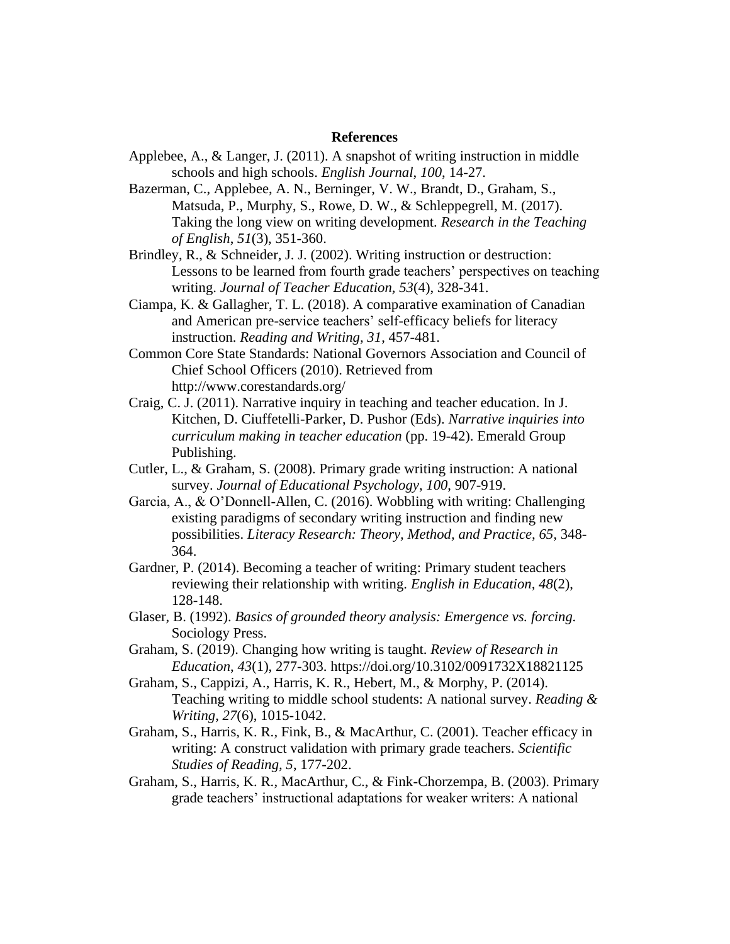#### **References**

- Applebee, A., & Langer, J. (2011). A snapshot of writing instruction in middle schools and high schools. *English Journal*, *100*, 14-27.
- Bazerman, C., Applebee, A. N., Berninger, V. W., Brandt, D., Graham, S., Matsuda, P., Murphy, S., Rowe, D. W., & Schleppegrell, M. (2017). Taking the long view on writing development. *Research in the Teaching of English*, *51*(3), 351-360.
- Brindley, R., & Schneider, J. J. (2002). Writing instruction or destruction: Lessons to be learned from fourth grade teachers' perspectives on teaching writing. *Journal of Teacher Education, 53*(4), 328-341.
- Ciampa, K. & Gallagher, T. L. (2018). A comparative examination of Canadian and American pre-service teachers' self-efficacy beliefs for literacy instruction. *Reading and Writing, 31*, 457-481.
- Common Core State Standards: National Governors Association and Council of Chief School Officers (2010). Retrieved from http://www.corestandards.org/
- Craig, C. J. (2011). Narrative inquiry in teaching and teacher education. In J. Kitchen, D. Ciuffetelli-Parker, D. Pushor (Eds). *Narrative inquiries into curriculum making in teacher education* (pp. 19-42). Emerald Group Publishing.
- Cutler, L., & Graham, S. (2008). Primary grade writing instruction: A national survey. *Journal of Educational Psychology*, *100*, 907-919.
- Garcia, A., & O'Donnell-Allen, C. (2016). Wobbling with writing: Challenging existing paradigms of secondary writing instruction and finding new possibilities. *Literacy Research: Theory, Method, and Practice, 65,* 348- 364.
- Gardner, P. (2014). Becoming a teacher of writing: Primary student teachers reviewing their relationship with writing. *English in Education, 48*(2), 128-148.
- Glaser, B. (1992). *Basics of grounded theory analysis: Emergence vs. forcing.*  Sociology Press.
- Graham, S. (2019). Changing how writing is taught. *Review of Research in Education*, *43*(1), 277-303. https://doi.org/10.3102/0091732X18821125
- Graham, S., Cappizi, A., Harris, K. R., Hebert, M., & Morphy, P. (2014). Teaching writing to middle school students: A national survey. *Reading & Writing*, *27*(6), 1015-1042.
- Graham, S., Harris, K. R., Fink, B., & MacArthur, C. (2001). Teacher efficacy in writing: A construct validation with primary grade teachers. *Scientific Studies of Reading, 5*, 177-202.
- Graham, S., Harris, K. R., MacArthur, C., & Fink-Chorzempa, B. (2003). Primary grade teachers' instructional adaptations for weaker writers: A national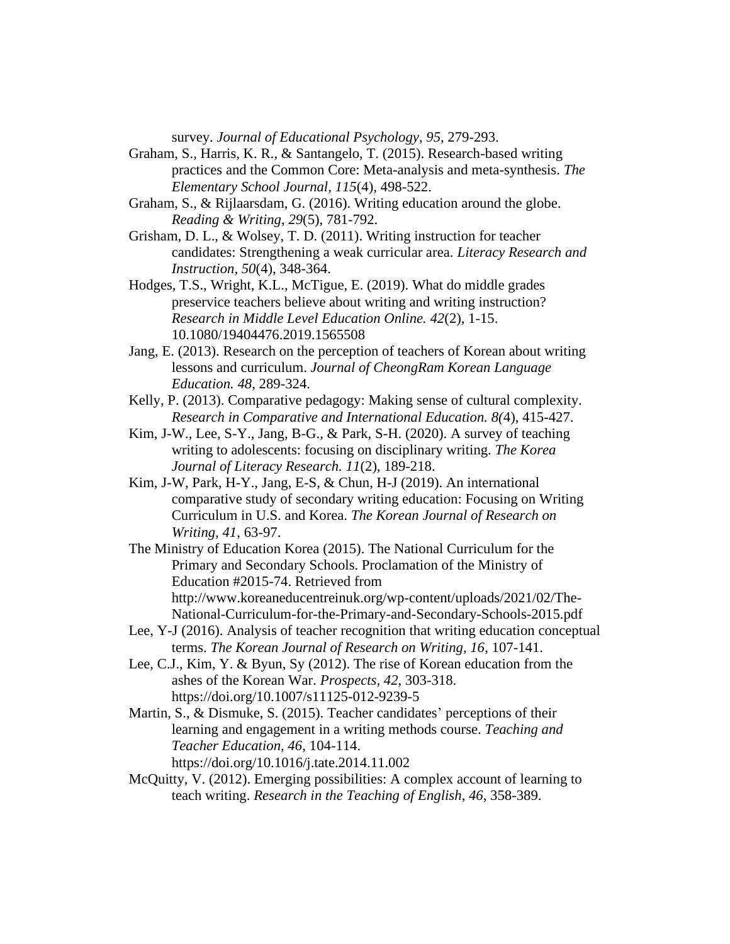survey. *Journal of Educational Psychology*, *95*, 279-293.

- Graham, S., Harris, K. R., & Santangelo, T. (2015). Research-based writing practices and the Common Core: Meta-analysis and meta-synthesis. *The Elementary School Journal, 115*(4), 498-522.
- Graham, S., & Rijlaarsdam, G. (2016). Writing education around the globe. *Reading & Writing*, *29*(5), 781-792.
- Grisham, D. L., & Wolsey, T. D. (2011). Writing instruction for teacher candidates: Strengthening a weak curricular area. *Literacy Research and Instruction, 50*(4), 348-364.
- Hodges, T.S., Wright, K.L., McTigue, E. (2019). What do middle grades preservice teachers believe about writing and writing instruction? *Research in Middle Level Education Online. 42*(2), 1-15. 10.1080/19404476.2019.1565508
- Jang, E. (2013). Research on the perception of teachers of Korean about writing lessons and curriculum. *Journal of CheongRam Korean Language Education. 48*, 289-324.
- Kelly, P. (2013). Comparative pedagogy: Making sense of cultural complexity. *Research in Comparative and International Education. 8(*4), 415-427.
- Kim, J-W., Lee, S-Y., Jang, B-G., & Park, S-H. (2020). A survey of teaching writing to adolescents: focusing on disciplinary writing. *The Korea Journal of Literacy Research. 11*(2), 189-218.
- Kim, J-W, Park, H-Y., Jang, E-S, & Chun, H-J (2019). An international comparative study of secondary writing education: Focusing on Writing Curriculum in U.S. and Korea. *The Korean Journal of Research on Writing, 41*, 63-97.
- The Ministry of Education Korea (2015). The National Curriculum for the Primary and Secondary Schools. Proclamation of the Ministry of Education #2015-74. Retrieved from http://www.koreaneducentreinuk.org/wp-content/uploads/2021/02/The-National-Curriculum-for-the-Primary-and-Secondary-Schools-2015.pdf
- Lee, Y-J (2016). Analysis of teacher recognition that writing education conceptual terms. *The Korean Journal of Research on Writing, 16*, 107-141.
- Lee, C.J., Kim, Y. & Byun, Sy (2012). The rise of Korean education from the ashes of the Korean War. *Prospects, 42*, 303-318. https://doi.org/10.1007/s11125-012-9239-5
- Martin, S., & Dismuke, S. (2015). Teacher candidates' perceptions of their learning and engagement in a writing methods course. *Teaching and Teacher Education, 46*, 104-114. https://doi.org/10.1016/j.tate.2014.11.002
- McQuitty, V. (2012). Emerging possibilities: A complex account of learning to teach writing. *Research in the Teaching of English*, *46*, 358-389.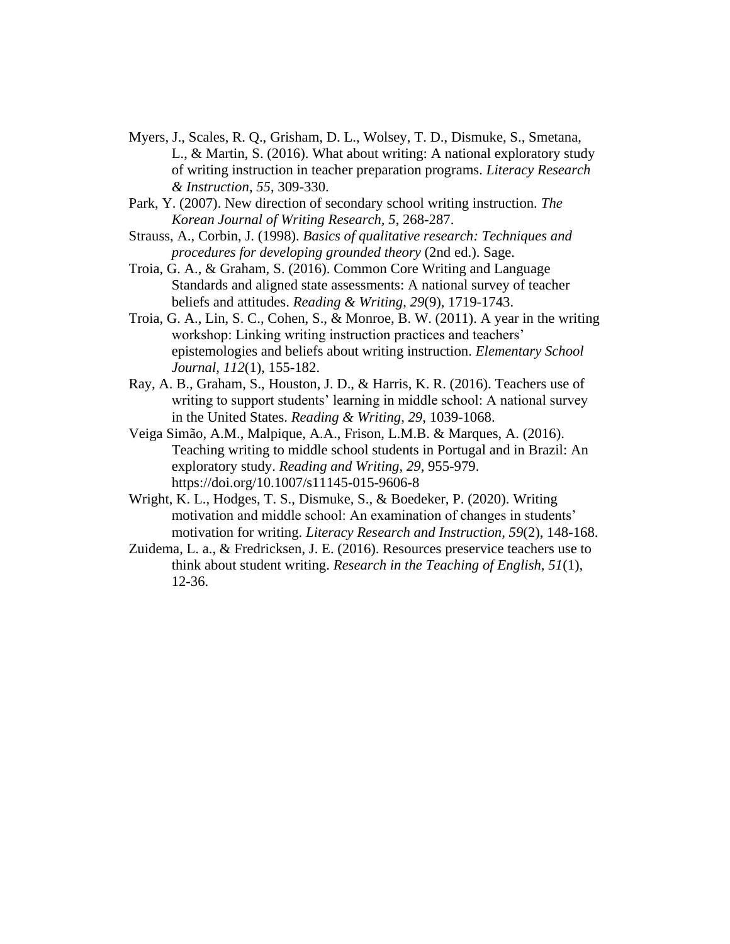- Myers, J., Scales, R. Q., Grisham, D. L., Wolsey, T. D., Dismuke, S., Smetana, L., & Martin, S. (2016). What about writing: A national exploratory study of writing instruction in teacher preparation programs. *Literacy Research & Instruction*, *55*, 309-330.
- Park, Y. (2007). New direction of secondary school writing instruction. *The Korean Journal of Writing Research, 5*, 268-287.
- Strauss, A., Corbin, J. (1998). *Basics of qualitative research: Techniques and procedures for developing grounded theory* (2nd ed.). Sage.
- Troia, G. A., & Graham, S. (2016). Common Core Writing and Language Standards and aligned state assessments: A national survey of teacher beliefs and attitudes. *Reading & Writing*, *29*(9), 1719-1743.
- Troia, G. A., Lin, S. C., Cohen, S., & Monroe, B. W. (2011). A year in the writing workshop: Linking writing instruction practices and teachers' epistemologies and beliefs about writing instruction. *Elementary School Journal, 112*(1), 155-182.
- Ray, A. B., Graham, S., Houston, J. D., & Harris, K. R. (2016). Teachers use of writing to support students' learning in middle school: A national survey in the United States. *Reading & Writing, 29*, 1039-1068.
- Veiga Simão, A.M., Malpique, A.A., Frison, L.M.B. & Marques, A. (2016). Teaching writing to middle school students in Portugal and in Brazil: An exploratory study. *Reading and Writing, 29*, 955-979. <https://doi.org/10.1007/s11145-015-9606-8>
- Wright, K. L., Hodges, T. S., Dismuke, S., & Boedeker, P. (2020). Writing motivation and middle school: An examination of changes in students' motivation for writing. *Literacy Research and Instruction, 59*(2), 148-168.
- Zuidema, L. a., & Fredricksen, J. E. (2016). Resources preservice teachers use to think about student writing. *Research in the Teaching of English, 51*(1), 12-36.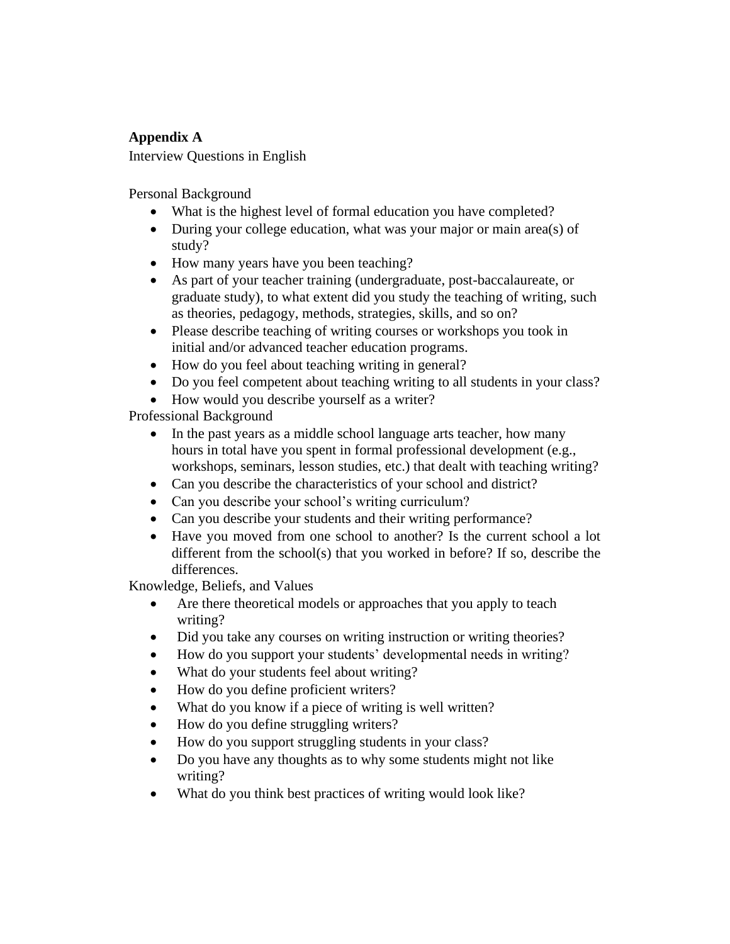### **Appendix A**

Interview Questions in English

Personal Background

- What is the highest level of formal education you have completed?
- During your college education, what was your major or main area(s) of study?
- How many years have you been teaching?
- As part of your teacher training (undergraduate, post-baccalaureate, or graduate study), to what extent did you study the teaching of writing, such as theories, pedagogy, methods, strategies, skills, and so on?
- Please describe teaching of writing courses or workshops you took in initial and/or advanced teacher education programs.
- How do you feel about teaching writing in general?
- Do you feel competent about teaching writing to all students in your class?
- How would you describe yourself as a writer?

Professional Background

- In the past years as a middle school language arts teacher, how many hours in total have you spent in formal professional development (e.g., workshops, seminars, lesson studies, etc.) that dealt with teaching writing?
- Can you describe the characteristics of your school and district?
- Can you describe your school's writing curriculum?
- Can you describe your students and their writing performance?
- Have you moved from one school to another? Is the current school a lot different from the school(s) that you worked in before? If so, describe the differences.

Knowledge, Beliefs, and Values

- Are there theoretical models or approaches that you apply to teach writing?
- Did you take any courses on writing instruction or writing theories?
- How do you support your students' developmental needs in writing?
- What do your students feel about writing?
- How do you define proficient writers?
- What do you know if a piece of writing is well written?
- How do you define struggling writers?
- How do you support struggling students in your class?
- Do you have any thoughts as to why some students might not like writing?
- What do you think best practices of writing would look like?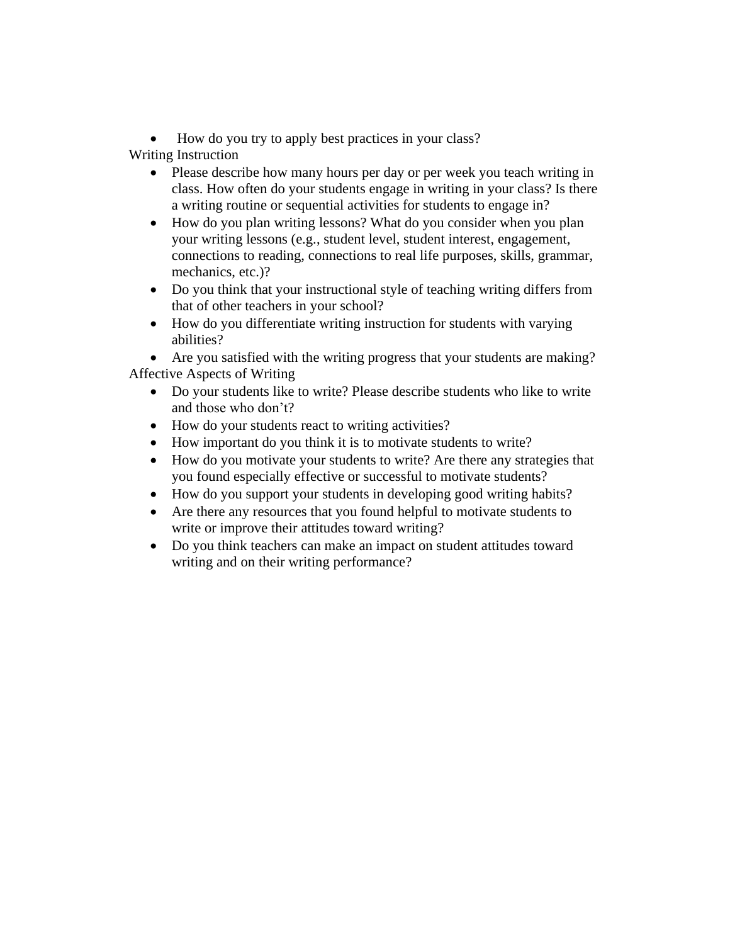• How do you try to apply best practices in your class?

Writing Instruction

- Please describe how many hours per day or per week you teach writing in class. How often do your students engage in writing in your class? Is there a writing routine or sequential activities for students to engage in?
- How do you plan writing lessons? What do you consider when you plan your writing lessons (e.g., student level, student interest, engagement, connections to reading, connections to real life purposes, skills, grammar, mechanics, etc.)?
- Do you think that your instructional style of teaching writing differs from that of other teachers in your school?
- How do you differentiate writing instruction for students with varying abilities?

• Are you satisfied with the writing progress that your students are making? Affective Aspects of Writing

- Do your students like to write? Please describe students who like to write and those who don't?
- How do your students react to writing activities?
- How important do you think it is to motivate students to write?
- How do you motivate your students to write? Are there any strategies that you found especially effective or successful to motivate students?
- How do you support your students in developing good writing habits?
- Are there any resources that you found helpful to motivate students to write or improve their attitudes toward writing?
- Do you think teachers can make an impact on student attitudes toward writing and on their writing performance?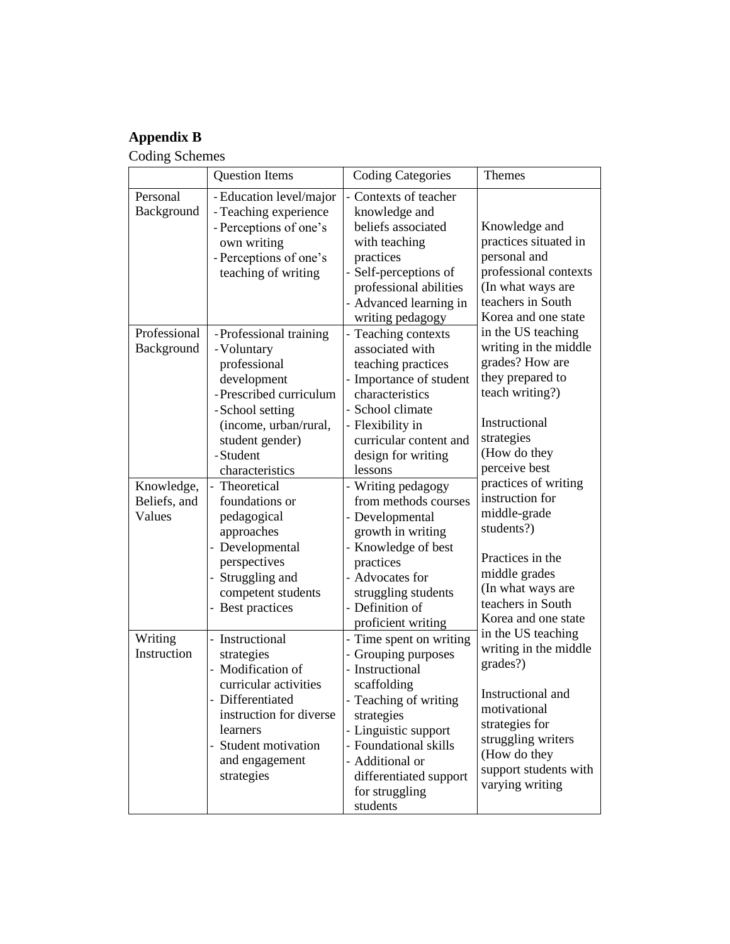# **Appendix B**

Coding Schemes

|                                      | <b>Question Items</b>                                                                                                                                                                        | <b>Coding Categories</b>                                                                                                                                                                                                                            | Themes                                                                                                                                                                                                                                                                                                                                                                                                                                                                                                                                                   |  |
|--------------------------------------|----------------------------------------------------------------------------------------------------------------------------------------------------------------------------------------------|-----------------------------------------------------------------------------------------------------------------------------------------------------------------------------------------------------------------------------------------------------|----------------------------------------------------------------------------------------------------------------------------------------------------------------------------------------------------------------------------------------------------------------------------------------------------------------------------------------------------------------------------------------------------------------------------------------------------------------------------------------------------------------------------------------------------------|--|
| Personal<br>Background               | - Education level/major<br>- Teaching experience<br>- Perceptions of one's<br>own writing<br>- Perceptions of one's<br>teaching of writing                                                   | - Contexts of teacher<br>knowledge and<br>beliefs associated<br>with teaching<br>practices<br>- Self-perceptions of<br>professional abilities<br>- Advanced learning in<br>writing pedagogy                                                         | Knowledge and<br>practices situated in<br>personal and<br>professional contexts<br>(In what ways are<br>teachers in South<br>Korea and one state                                                                                                                                                                                                                                                                                                                                                                                                         |  |
| Professional<br>Background           | -Professional training<br>- Voluntary<br>professional<br>development<br>-Prescribed curriculum<br>-School setting<br>(income, urban/rural,<br>student gender)<br>-Student<br>characteristics | - Teaching contexts<br>associated with<br>teaching practices<br>- Importance of student<br>characteristics<br>- School climate<br>- Flexibility in<br>curricular content and<br>design for writing<br>lessons                                       | in the US teaching<br>writing in the middle<br>grades? How are<br>they prepared to<br>teach writing?)<br>Instructional<br>strategies<br>(How do they<br>perceive best<br>practices of writing<br>instruction for<br>middle-grade<br>students?)<br>Practices in the<br>middle grades<br>(In what ways are<br>teachers in South<br>Korea and one state<br>in the US teaching<br>writing in the middle<br>grades?)<br>Instructional and<br>motivational<br>strategies for<br>struggling writers<br>(How do they<br>support students with<br>varying writing |  |
| Knowledge,<br>Beliefs, and<br>Values | - Theoretical<br>foundations or<br>pedagogical<br>approaches<br>- Developmental<br>perspectives<br>Struggling and<br>competent students<br>- Best practices                                  | - Writing pedagogy<br>from methods courses<br>- Developmental<br>growth in writing<br>- Knowledge of best<br>practices<br>- Advocates for<br>struggling students<br>- Definition of<br>proficient writing                                           |                                                                                                                                                                                                                                                                                                                                                                                                                                                                                                                                                          |  |
| Writing<br>Instruction               | - Instructional<br>strategies<br>- Modification of<br>curricular activities<br>Differentiated<br>instruction for diverse<br>learners<br>Student motivation<br>and engagement<br>strategies   | - Time spent on writing<br>- Grouping purposes<br>- Instructional<br>scaffolding<br>- Teaching of writing<br>strategies<br>- Linguistic support<br>- Foundational skills<br>- Additional or<br>differentiated support<br>for struggling<br>students |                                                                                                                                                                                                                                                                                                                                                                                                                                                                                                                                                          |  |